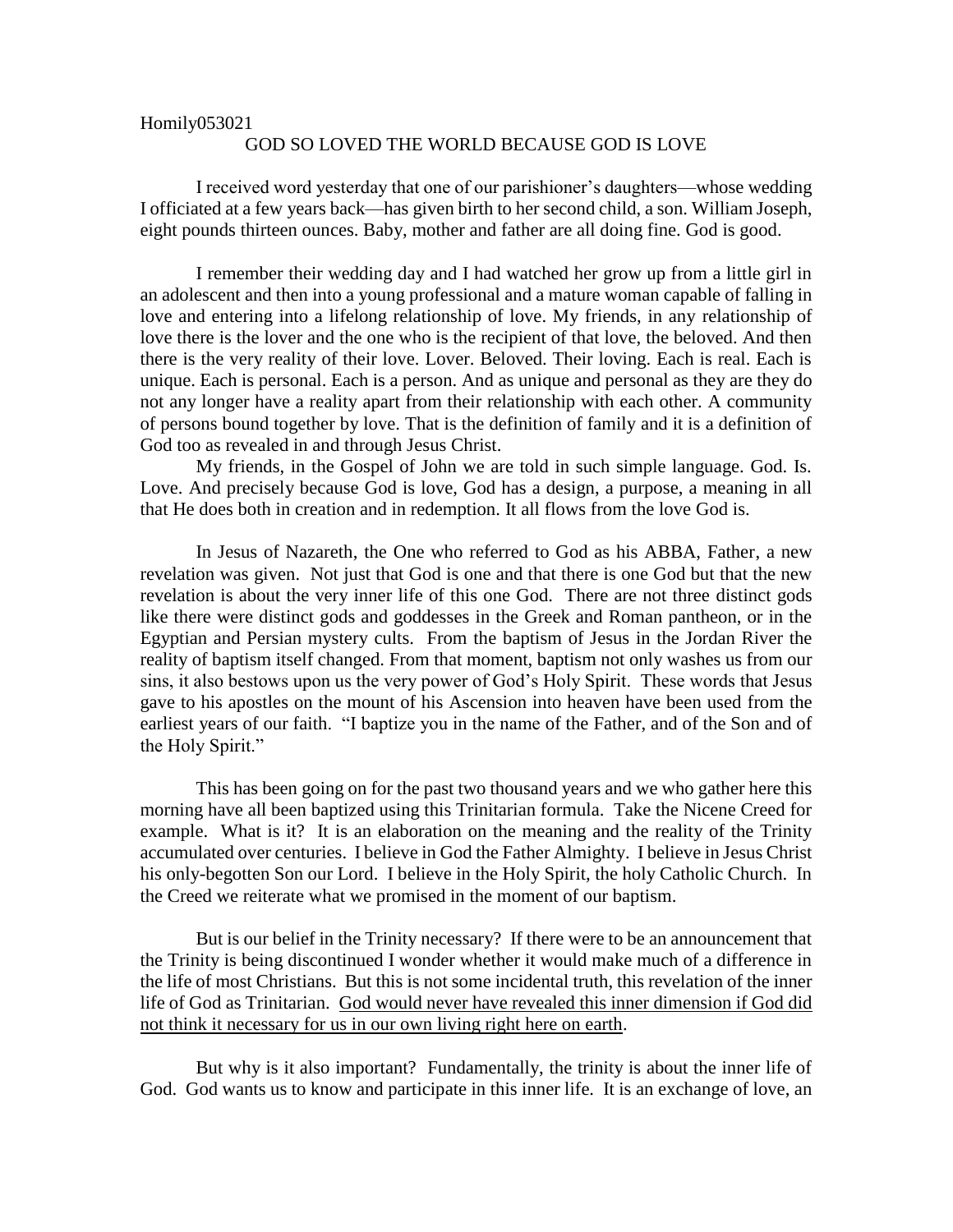## Homily053021

## GOD SO LOVED THE WORLD BECAUSE GOD IS LOVE

I received word yesterday that one of our parishioner's daughters—whose wedding I officiated at a few years back—has given birth to her second child, a son. William Joseph, eight pounds thirteen ounces. Baby, mother and father are all doing fine. God is good.

I remember their wedding day and I had watched her grow up from a little girl in an adolescent and then into a young professional and a mature woman capable of falling in love and entering into a lifelong relationship of love. My friends, in any relationship of love there is the lover and the one who is the recipient of that love, the beloved. And then there is the very reality of their love. Lover. Beloved. Their loving. Each is real. Each is unique. Each is personal. Each is a person. And as unique and personal as they are they do not any longer have a reality apart from their relationship with each other. A community of persons bound together by love. That is the definition of family and it is a definition of God too as revealed in and through Jesus Christ.

My friends, in the Gospel of John we are told in such simple language. God. Is. Love. And precisely because God is love, God has a design, a purpose, a meaning in all that He does both in creation and in redemption. It all flows from the love God is.

In Jesus of Nazareth, the One who referred to God as his ABBA, Father, a new revelation was given. Not just that God is one and that there is one God but that the new revelation is about the very inner life of this one God. There are not three distinct gods like there were distinct gods and goddesses in the Greek and Roman pantheon, or in the Egyptian and Persian mystery cults. From the baptism of Jesus in the Jordan River the reality of baptism itself changed. From that moment, baptism not only washes us from our sins, it also bestows upon us the very power of God's Holy Spirit. These words that Jesus gave to his apostles on the mount of his Ascension into heaven have been used from the earliest years of our faith. "I baptize you in the name of the Father, and of the Son and of the Holy Spirit."

This has been going on for the past two thousand years and we who gather here this morning have all been baptized using this Trinitarian formula. Take the Nicene Creed for example. What is it? It is an elaboration on the meaning and the reality of the Trinity accumulated over centuries. I believe in God the Father Almighty. I believe in Jesus Christ his only-begotten Son our Lord. I believe in the Holy Spirit, the holy Catholic Church. In the Creed we reiterate what we promised in the moment of our baptism.

But is our belief in the Trinity necessary? If there were to be an announcement that the Trinity is being discontinued I wonder whether it would make much of a difference in the life of most Christians. But this is not some incidental truth, this revelation of the inner life of God as Trinitarian. God would never have revealed this inner dimension if God did not think it necessary for us in our own living right here on earth.

But why is it also important? Fundamentally, the trinity is about the inner life of God. God wants us to know and participate in this inner life. It is an exchange of love, an